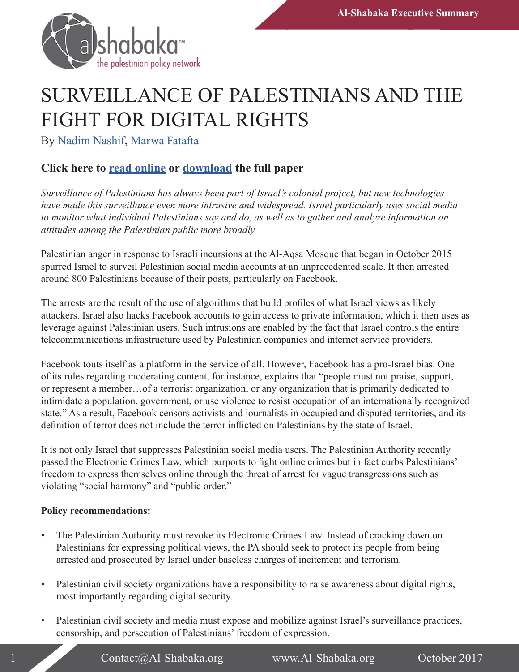

## SURVEILLANCE OF PALESTINIANS AND THE FIGHT FOR DIGITAL RIGHTS

By [Nadim Nashif](https://al-shabaka.org/en/author/nadimnashif/), Marwa Fatafta

## **Click here to [read online](http://ow.ly/mi1A30g3RsQ) or [download](https://al-shabaka.org/wp-content/uploads/2017/10/Nashif_PolicyBrief_Eng_Oct2017.pdf) the full paper**

*Surveillance of Palestinians has always been part of Israel's colonial project, but new technologies have made this surveillance even more intrusive and widespread. Israel particularly uses social media to monitor what individual Palestinians say and do, as well as to gather and analyze information on attitudes among the Palestinian public more broadly.* 

Palestinian anger in response to Israeli incursions at the Al-Aqsa Mosque that began in October 2015 spurred Israel to surveil Palestinian social media accounts at an unprecedented scale. It then arrested around 800 Palestinians because of their posts, particularly on Facebook.

The arrests are the result of the use of algorithms that build profiles of what Israel views as likely attackers. Israel also hacks Facebook accounts to gain access to private information, which it then uses as leverage against Palestinian users. Such intrusions are enabled by the fact that Israel controls the entire telecommunications infrastructure used by Palestinian companies and internet service providers.

Facebook touts itself as a platform in the service of all. However, Facebook has a pro-Israel bias. One of its rules regarding moderating content, for instance, explains that "people must not praise, support, or represent a member…of a terrorist organization, or any organization that is primarily dedicated to intimidate a population, government, or use violence to resist occupation of an internationally recognized state." As a result, Facebook censors activists and journalists in occupied and disputed territories, and its definition of terror does not include the terror inflicted on Palestinians by the state of Israel.

It is not only Israel that suppresses Palestinian social media users. The Palestinian Authority recently passed the Electronic Crimes Law, which purports to fight online crimes but in fact curbs Palestinians' freedom to express themselves online through the threat of arrest for vague transgressions such as violating "social harmony" and "public order."

## **Policy recommendations:**

- The Palestinian Authority must revoke its Electronic Crimes Law. Instead of cracking down on Palestinians for expressing political views, the PA should seek to protect its people from being arrested and prosecuted by Israel under baseless charges of incitement and terrorism.
- Palestinian civil society organizations have a responsibility to raise awareness about digital rights, most importantly regarding digital security.
- Palestinian civil society and media must expose and mobilize against Israel's surveillance practices, censorship, and persecution of Palestinians' freedom of expression.